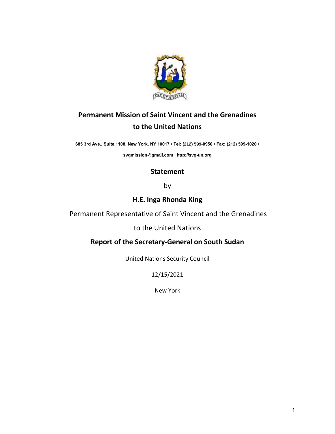

## **Permanent Mission of Saint Vincent and the Grenadines to the United Nations**

**685 3rd Ave., Suite 1108, New York, NY 10017 • Tel: (212) 599-0950 • Fax: (212) 599-1020 •** 

**[svgmission@gmail.com](mailto:svgmission@gmail.com) [| http://svg-un.org](http://svg-un.org/)**

## **Statement**

by

## **H.E. Inga Rhonda King**

Permanent Representative of Saint Vincent and the Grenadines

to the United Nations

## **Report of the Secretary-General on South Sudan**

United Nations Security Council

12/15/2021

New York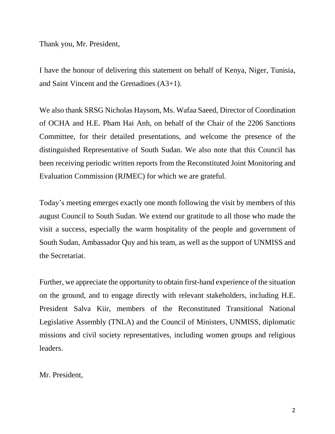Thank you, Mr. President,

I have the honour of delivering this statement on behalf of Kenya, Niger, Tunisia, and Saint Vincent and the Grenadines (A3+1).

We also thank SRSG Nicholas Haysom, Ms. Wafaa Saeed, Director of Coordination of OCHA and H.E. Pham Hai Anh, on behalf of the Chair of the 2206 Sanctions Committee, for their detailed presentations, and welcome the presence of the distinguished Representative of South Sudan. We also note that this Council has been receiving periodic written reports from the Reconstituted Joint Monitoring and Evaluation Commission (RJMEC) for which we are grateful.

Today's meeting emerges exactly one month following the visit by members of this august Council to South Sudan. We extend our gratitude to all those who made the visit a success, especially the warm hospitality of the people and government of South Sudan, Ambassador Quy and his team, as well as the support of UNMISS and the Secretariat.

Further, we appreciate the opportunity to obtain first-hand experience of the situation on the ground, and to engage directly with relevant stakeholders, including H.E. President Salva Kiir, members of the Reconstituted Transitional National Legislative Assembly (TNLA) and the Council of Ministers, UNMISS, diplomatic missions and civil society representatives, including women groups and religious leaders.

Mr. President,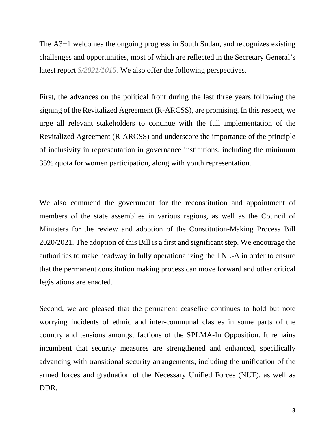The A3+1 welcomes the ongoing progress in South Sudan, and recognizes existing challenges and opportunities, most of which are reflected in the Secretary General's latest report *S/2021/1015.* We also offer the following perspectives.

First, the advances on the political front during the last three years following the signing of the Revitalized Agreement (R-ARCSS), are promising. In this respect, we urge all relevant stakeholders to continue with the full implementation of the Revitalized Agreement (R-ARCSS) and underscore the importance of the principle of inclusivity in representation in governance institutions, including the minimum 35% quota for women participation, along with youth representation.

We also commend the government for the reconstitution and appointment of members of the state assemblies in various regions, as well as the Council of Ministers for the review and adoption of the Constitution-Making Process Bill 2020/2021. The adoption of this Bill is a first and significant step. We encourage the authorities to make headway in fully operationalizing the TNL-A in order to ensure that the permanent constitution making process can move forward and other critical legislations are enacted.

Second, we are pleased that the permanent ceasefire continues to hold but note worrying incidents of ethnic and inter-communal clashes in some parts of the country and tensions amongst factions of the SPLMA-In Opposition. It remains incumbent that security measures are strengthened and enhanced, specifically advancing with transitional security arrangements, including the unification of the armed forces and graduation of the Necessary Unified Forces (NUF), as well as DDR.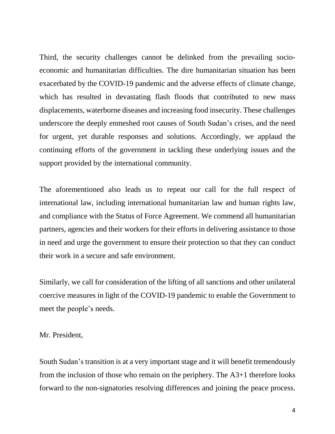Third, the security challenges cannot be delinked from the prevailing socioeconomic and humanitarian difficulties. The dire humanitarian situation has been exacerbated by the COVID-19 pandemic and the adverse effects of climate change, which has resulted in devastating flash floods that contributed to new mass displacements, waterborne diseases and increasing food insecurity. These challenges underscore the deeply enmeshed root causes of South Sudan's crises, and the need for urgent, yet durable responses and solutions. Accordingly, we applaud the continuing efforts of the government in tackling these underlying issues and the support provided by the international community.

The aforementioned also leads us to repeat our call for the full respect of international law, including international humanitarian law and human rights law, and compliance with the Status of Force Agreement. We commend all humanitarian partners, agencies and their workers for their efforts in delivering assistance to those in need and urge the government to ensure their protection so that they can conduct their work in a secure and safe environment.

Similarly, we call for consideration of the lifting of all sanctions and other unilateral coercive measures in light of the COVID-19 pandemic to enable the Government to meet the people's needs.

Mr. President,

South Sudan's transition is at a very important stage and it will benefit tremendously from the inclusion of those who remain on the periphery. The A3+1 therefore looks forward to the non-signatories resolving differences and joining the peace process.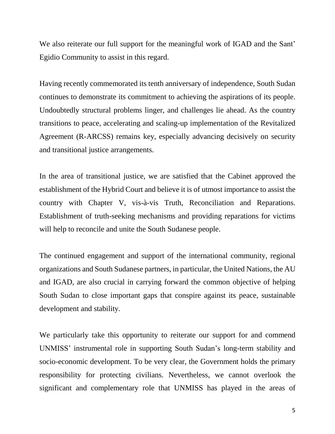We also reiterate our full support for the meaningful work of IGAD and the Sant' Egidio Community to assist in this regard.

Having recently commemorated its tenth anniversary of independence, South Sudan continues to demonstrate its commitment to achieving the aspirations of its people. Undoubtedly structural problems linger, and challenges lie ahead. As the country transitions to peace, accelerating and scaling-up implementation of the Revitalized Agreement (R-ARCSS) remains key, especially advancing decisively on security and transitional justice arrangements.

In the area of transitional justice, we are satisfied that the Cabinet approved the establishment of the Hybrid Court and believe it is of utmost importance to assist the country with Chapter V, vis-à-vis Truth, Reconciliation and Reparations. Establishment of truth-seeking mechanisms and providing reparations for victims will help to reconcile and unite the South Sudanese people.

The continued engagement and support of the international community, regional organizations and South Sudanese partners, in particular, the United Nations, the AU and IGAD, are also crucial in carrying forward the common objective of helping South Sudan to close important gaps that conspire against its peace, sustainable development and stability.

We particularly take this opportunity to reiterate our support for and commend UNMISS' instrumental role in supporting South Sudan's long-term stability and socio-economic development. To be very clear, the Government holds the primary responsibility for protecting civilians. Nevertheless, we cannot overlook the significant and complementary role that UNMISS has played in the areas of